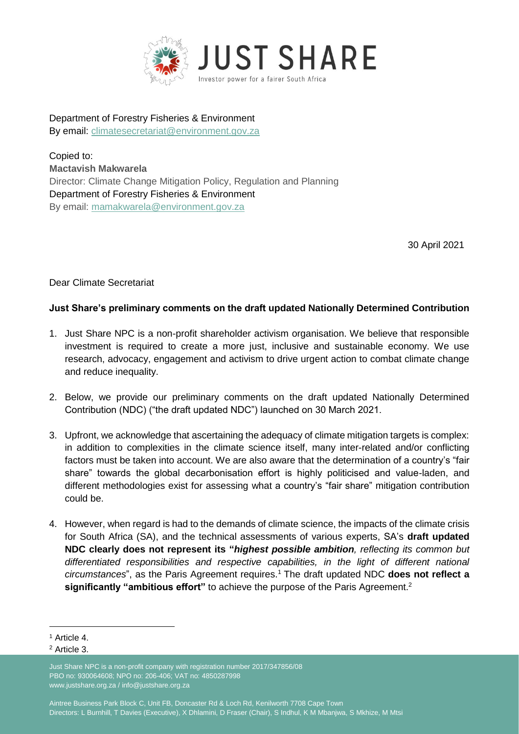

Department of Forestry Fisheries & Environment By email: [climatesecretariat@environment.gov.za](mailto:climatesecretariat@environment.gov.za)

Copied to: **Mactavish Makwarela**  Director: Climate Change Mitigation Policy, Regulation and Planning Department of Forestry Fisheries & Environment By email: [mamakwarela@environment.gov.za](mailto:mamakwarela@environment.gov.za)

30 April 2021

Dear Climate Secretariat

## **Just Share's preliminary comments on the draft updated Nationally Determined Contribution**

- 1. Just Share NPC is a non-profit shareholder activism organisation. We believe that responsible investment is required to create a more just, inclusive and sustainable economy. We use research, advocacy, engagement and activism to drive urgent action to combat climate change and reduce inequality.
- 2. Below, we provide our preliminary comments on the draft updated Nationally Determined Contribution (NDC) ("the draft updated NDC") launched on 30 March 2021.
- 3. Upfront, we acknowledge that ascertaining the adequacy of climate mitigation targets is complex: in addition to complexities in the climate science itself, many inter-related and/or conflicting factors must be taken into account. We are also aware that the determination of a country's "fair share" towards the global decarbonisation effort is highly politicised and value-laden, and different methodologies exist for assessing what a country's "fair share" mitigation contribution could be.
- 4. However, when regard is had to the demands of climate science, the impacts of the climate crisis for South Africa (SA), and the technical assessments of various experts, SA's **draft updated NDC clearly does not represent its "***highest possible ambition, reflecting its common but differentiated responsibilities and respective capabilities, in the light of different national circumstances*", as the Paris Agreement requires.<sup>1</sup> The draft updated NDC **does not reflect a significantly "ambitious effort"** to achieve the purpose of the Paris Agreement.<sup>2</sup>

<sup>1</sup> Article 4.

<sup>2</sup> Article 3.

Just Share NPC is a non-profit company with registration number 2017/347856/08 PBO no: 930064608; NPO no: 206-406; VAT no: 4850287998 www.justshare.org.za / info@justshare.org.za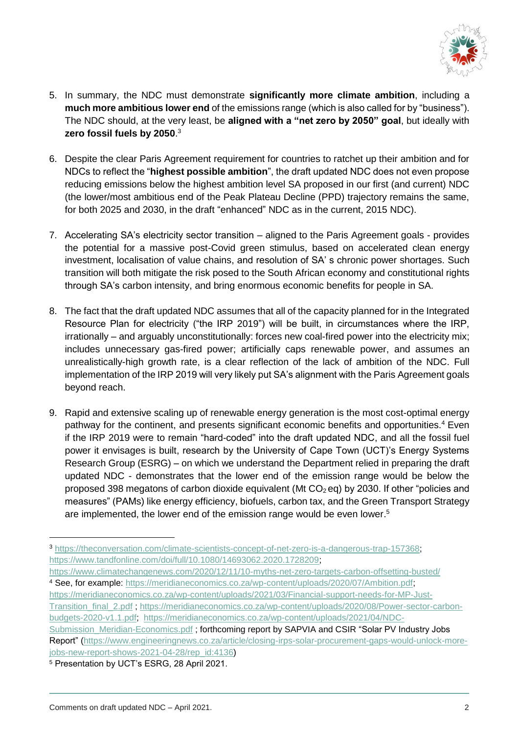

- 5. In summary, the NDC must demonstrate **significantly more climate ambition**, including a **much more ambitious lower end** of the emissions range (which is also called for by "business"). The NDC should, at the very least, be **aligned with a "net zero by 2050" goal**, but ideally with **zero fossil fuels by 2050**. 3
- 6. Despite the clear Paris Agreement requirement for countries to ratchet up their ambition and for NDCs to reflect the "**highest possible ambition**", the draft updated NDC does not even propose reducing emissions below the highest ambition level SA proposed in our first (and current) NDC (the lower/most ambitious end of the Peak Plateau Decline (PPD) trajectory remains the same, for both 2025 and 2030, in the draft "enhanced" NDC as in the current, 2015 NDC).
- 7. Accelerating SA's electricity sector transition aligned to the Paris Agreement goals provides the potential for a massive post-Covid green stimulus, based on accelerated clean energy investment, localisation of value chains, and resolution of SA' s chronic power shortages. Such transition will both mitigate the risk posed to the South African economy and constitutional rights through SA's carbon intensity, and bring enormous economic benefits for people in SA.
- 8. The fact that the draft updated NDC assumes that all of the capacity planned for in the Integrated Resource Plan for electricity ("the IRP 2019") will be built, in circumstances where the IRP, irrationally – and arguably unconstitutionally: forces new coal-fired power into the electricity mix; includes unnecessary gas-fired power; artificially caps renewable power, and assumes an unrealistically-high growth rate, is a clear reflection of the lack of ambition of the NDC. Full implementation of the IRP 2019 will very likely put SA's alignment with the Paris Agreement goals beyond reach.
- 9. Rapid and extensive scaling up of renewable energy generation is the most cost-optimal energy pathway for the continent, and presents significant economic benefits and opportunities.<sup>4</sup> Even if the IRP 2019 were to remain "hard-coded" into the draft updated NDC, and all the fossil fuel power it envisages is built, research by the University of Cape Town (UCT)'s Energy Systems Research Group (ESRG) – on which we understand the Department relied in preparing the draft updated NDC - demonstrates that the lower end of the emission range would be below the proposed 398 megatons of carbon dioxide equivalent (Mt  $CO<sub>2</sub>$  eq) by 2030. If other "policies and measures" (PAMs) like energy efficiency, biofuels, carbon tax, and the Green Transport Strategy are implemented, the lower end of the emission range would be even lower.<sup>5</sup>

[https://meridianeconomics.co.za/wp-content/uploads/2021/03/Financial-support-needs-for-MP-Just-](https://meridianeconomics.co.za/wp-content/uploads/2021/03/Financial-support-needs-for-MP-Just-Transition_final_2.pdf)[Transition\\_final\\_2.pdf](https://meridianeconomics.co.za/wp-content/uploads/2021/03/Financial-support-needs-for-MP-Just-Transition_final_2.pdf) ; [https://meridianeconomics.co.za/wp-content/uploads/2020/08/Power-sector-carbon](https://meridianeconomics.co.za/wp-content/uploads/2020/08/Power-sector-carbon-budgets-2020-v1.1.pdf)[budgets-2020-v1.1.pdf;](https://meridianeconomics.co.za/wp-content/uploads/2020/08/Power-sector-carbon-budgets-2020-v1.1.pdf) [https://meridianeconomics.co.za/wp-content/uploads/2021/04/NDC-](https://meridianeconomics.co.za/wp-content/uploads/2021/04/NDC-Submission_Meridian-Economics.pdf)

[Submission\\_Meridian-Economics.pdf](https://meridianeconomics.co.za/wp-content/uploads/2021/04/NDC-Submission_Meridian-Economics.pdf) ; forthcoming report by SAPVIA and CSIR "Solar PV Industry Jobs Report" [\(https://www.engineeringnews.co.za/article/closing-irps-solar-procurement-gaps-would-unlock-more](https://www.engineeringnews.co.za/article/closing-irps-solar-procurement-gaps-would-unlock-more-jobs-new-report-shows-2021-04-28/rep_id:4136)[jobs-new-report-shows-2021-04-28/rep\\_id:4136\)](https://www.engineeringnews.co.za/article/closing-irps-solar-procurement-gaps-would-unlock-more-jobs-new-report-shows-2021-04-28/rep_id:4136)

<sup>3</sup> [https://theconversation.com/climate-scientists-concept-of-net-zero-is-a-dangerous-trap-157368;](https://theconversation.com/climate-scientists-concept-of-net-zero-is-a-dangerous-trap-157368) [https://www.tandfonline.com/doi/full/10.1080/14693062.2020.1728209;](https://www.tandfonline.com/doi/full/10.1080/14693062.2020.1728209)

<https://www.climatechangenews.com/2020/12/11/10-myths-net-zero-targets-carbon-offsetting-busted/> <sup>4</sup> See, for example: [https://meridianeconomics.co.za/wp-content/uploads/2020/07/Ambition.pdf;](https://meridianeconomics.co.za/wp-content/uploads/2020/07/Ambition.pdf)

<sup>5</sup> Presentation by UCT's ESRG, 28 April 2021.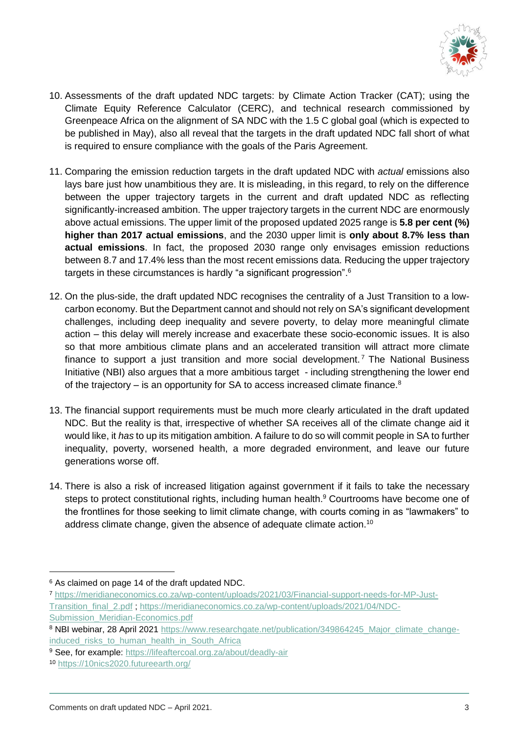

- 10. Assessments of the draft updated NDC targets: by Climate Action Tracker (CAT); using the Climate Equity Reference Calculator (CERC), and technical research commissioned by Greenpeace Africa on the alignment of SA NDC with the 1.5 C global goal (which is expected to be published in May), also all reveal that the targets in the draft updated NDC fall short of what is required to ensure compliance with the goals of the Paris Agreement.
- 11. Comparing the emission reduction targets in the draft updated NDC with *actual* emissions also lays bare just how unambitious they are. It is misleading, in this regard, to rely on the difference between the upper trajectory targets in the current and draft updated NDC as reflecting significantly-increased ambition. The upper trajectory targets in the current NDC are enormously above actual emissions. The upper limit of the proposed updated 2025 range is **5.8 per cent (%) higher than 2017 actual emissions**, and the 2030 upper limit is **only about 8.7% less than actual emissions**. In fact, the proposed 2030 range only envisages emission reductions between 8.7 and 17.4% less than the most recent emissions data. Reducing the upper trajectory targets in these circumstances is hardly "a significant progression". $^{\rm 6}$
- 12. On the plus-side, the draft updated NDC recognises the centrality of a Just Transition to a lowcarbon economy. But the Department cannot and should not rely on SA's significant development challenges, including deep inequality and severe poverty, to delay more meaningful climate action – this delay will merely increase and exacerbate these socio-economic issues. It is also so that more ambitious climate plans and an accelerated transition will attract more climate finance to support a just transition and more social development.<sup>7</sup> The National Business Initiative (NBI) also argues that a more ambitious target - including strengthening the lower end of the trajectory – is an opportunity for SA to access increased climate finance.<sup>8</sup>
- 13. The financial support requirements must be much more clearly articulated in the draft updated NDC. But the reality is that, irrespective of whether SA receives all of the climate change aid it would like, it *has* to up its mitigation ambition. A failure to do so will commit people in SA to further inequality, poverty, worsened health, a more degraded environment, and leave our future generations worse off.
- 14. There is also a risk of increased litigation against government if it fails to take the necessary steps to protect constitutional rights, including human health. <sup>9</sup> Courtrooms have become one of the frontlines for those seeking to limit climate change, with courts coming in as "lawmakers" to address climate change, given the absence of adequate climate action.<sup>10</sup>

<sup>6</sup> As claimed on page 14 of the draft updated NDC.

<sup>7</sup> [https://meridianeconomics.co.za/wp-content/uploads/2021/03/Financial-support-needs-for-MP-Just-](https://meridianeconomics.co.za/wp-content/uploads/2021/03/Financial-support-needs-for-MP-Just-Transition_final_2.pdf)[Transition\\_final\\_2.pdf](https://meridianeconomics.co.za/wp-content/uploads/2021/03/Financial-support-needs-for-MP-Just-Transition_final_2.pdf) ; [https://meridianeconomics.co.za/wp-content/uploads/2021/04/NDC-](https://meridianeconomics.co.za/wp-content/uploads/2021/04/NDC-Submission_Meridian-Economics.pdf)[Submission\\_Meridian-Economics.pdf](https://meridianeconomics.co.za/wp-content/uploads/2021/04/NDC-Submission_Meridian-Economics.pdf)

<sup>8</sup> NBI webinar, 28 April 2021 [https://www.researchgate.net/publication/349864245\\_Major\\_climate\\_change](https://www.researchgate.net/publication/349864245_Major_climate_change-induced_risks_to_human_health_in_South_Africa)induced risks to human health in South Africa

<sup>&</sup>lt;sup>9</sup> See, for example:<https://lifeaftercoal.org.za/about/deadly-air>

<sup>10</sup> <https://10nics2020.futureearth.org/>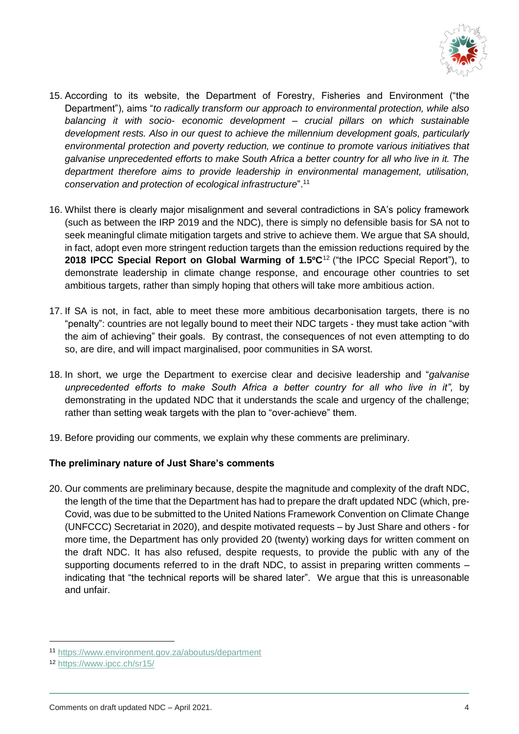

- 15. According to its website, the Department of Forestry, Fisheries and Environment ("the Department"), aims "*to radically transform our approach to environmental protection, while also balancing it with socio- economic development – crucial pillars on which sustainable development rests. Also in our quest to achieve the millennium development goals, particularly environmental protection and poverty reduction, we continue to promote various initiatives that galvanise unprecedented efforts to make South Africa a better country for all who live in it. The department therefore aims to provide leadership in environmental management, utilisation, conservation and protection of ecological infrastructure*". 11
- 16. Whilst there is clearly major misalignment and several contradictions in SA's policy framework (such as between the IRP 2019 and the NDC), there is simply no defensible basis for SA not to seek meaningful climate mitigation targets and strive to achieve them. We argue that SA should, in fact, adopt even more stringent reduction targets than the emission reductions required by the **2018 IPCC Special Report on Global Warming of 1.5ºC**<sup>12</sup> ("the IPCC Special Report"), to demonstrate leadership in climate change response, and encourage other countries to set ambitious targets, rather than simply hoping that others will take more ambitious action.
- 17. If SA is not, in fact, able to meet these more ambitious decarbonisation targets, there is no "penalty": countries are not legally bound to meet their NDC targets - they must take action "with the aim of achieving" their goals. By contrast, the consequences of not even attempting to do so, are dire, and will impact marginalised, poor communities in SA worst.
- 18. In short, we urge the Department to exercise clear and decisive leadership and "*galvanise unprecedented efforts to make South Africa a better country for all who live in it",* by demonstrating in the updated NDC that it understands the scale and urgency of the challenge; rather than setting weak targets with the plan to "over-achieve" them.
- 19. Before providing our comments, we explain why these comments are preliminary.

# **The preliminary nature of Just Share's comments**

20. Our comments are preliminary because, despite the magnitude and complexity of the draft NDC, the length of the time that the Department has had to prepare the draft updated NDC (which, pre-Covid, was due to be submitted to the United Nations Framework Convention on Climate Change (UNFCCC) Secretariat in 2020), and despite motivated requests – by Just Share and others - for more time, the Department has only provided 20 (twenty) working days for written comment on the draft NDC. It has also refused, despite requests, to provide the public with any of the supporting documents referred to in the draft NDC, to assist in preparing written comments – indicating that "the technical reports will be shared later". We argue that this is unreasonable and unfair.

<sup>11</sup> <https://www.environment.gov.za/aboutus/department>

<sup>12</sup> <https://www.ipcc.ch/sr15/>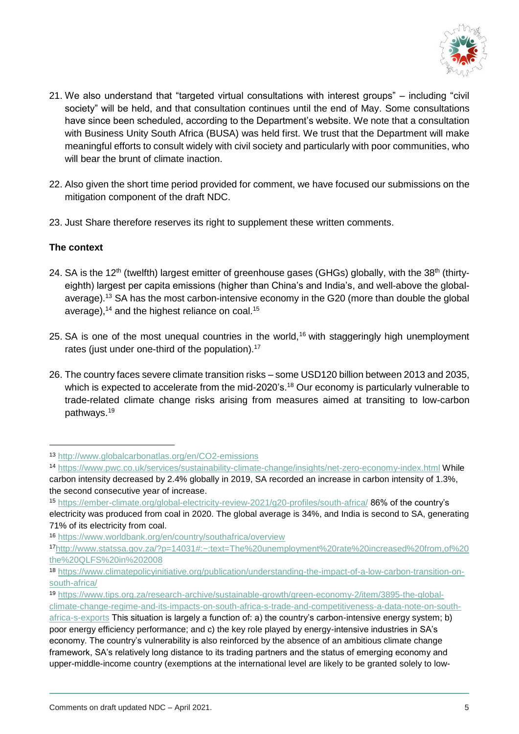

- 21. We also understand that "targeted virtual consultations with interest groups" including "civil society" will be held, and that consultation continues until the end of May. Some consultations have since been scheduled, according to the Department's website. We note that a consultation with Business Unity South Africa (BUSA) was held first. We trust that the Department will make meaningful efforts to consult widely with civil society and particularly with poor communities, who will bear the brunt of climate inaction.
- 22. Also given the short time period provided for comment, we have focused our submissions on the mitigation component of the draft NDC.
- 23. Just Share therefore reserves its right to supplement these written comments.

# **The context**

- 24. SA is the 12<sup>th</sup> (twelfth) largest emitter of greenhouse gases (GHGs) globally, with the 38<sup>th</sup> (thirtyeighth) largest per capita emissions (higher than China's and India's, and well-above the globalaverage).<sup>13</sup> SA has the most carbon-intensive economy in the G20 (more than double the global average), $^{14}$  and the highest reliance on coal. $^{15}$
- 25. SA is one of the most unequal countries in the world,<sup>16</sup> with staggeringly high unemployment rates (just under one-third of the population).<sup>17</sup>
- 26. The country faces severe climate transition risks some USD120 billion between 2013 and 2035, which is expected to accelerate from the mid-2020's.<sup>18</sup> Our economy is particularly vulnerable to trade-related climate change risks arising from measures aimed at transiting to low-carbon pathways.<sup>19</sup>

<sup>13</sup> <http://www.globalcarbonatlas.org/en/CO2-emissions>

<sup>14</sup> <https://www.pwc.co.uk/services/sustainability-climate-change/insights/net-zero-economy-index.html> While carbon intensity decreased by 2.4% globally in 2019, SA recorded an increase in carbon intensity of 1.3%, the second consecutive year of increase.

<sup>15</sup> <https://ember-climate.org/global-electricity-review-2021/g20-profiles/south-africa/> 86% of the country's electricity was produced from coal in 2020. The global average is 34%, and India is second to SA, generating 71% of its electricity from coal.

<sup>16</sup> <https://www.worldbank.org/en/country/southafrica/overview>

<sup>17</sup>[http://www.statssa.gov.za/?p=14031#:~:text=The%20unemployment%20rate%20increased%20from,of%20](http://www.statssa.gov.za/?p=14031#:~:text=The%20unemployment%20rate%20increased%20from,of%20the%20QLFS%20in%202008) [the%20QLFS%20in%202008](http://www.statssa.gov.za/?p=14031#:~:text=The%20unemployment%20rate%20increased%20from,of%20the%20QLFS%20in%202008)

<sup>18</sup> [https://www.climatepolicyinitiative.org/publication/understanding-the-impact-of-a-low-carbon-transition-on](https://www.climatepolicyinitiative.org/publication/understanding-the-impact-of-a-low-carbon-transition-on-south-africa/)[south-africa/](https://www.climatepolicyinitiative.org/publication/understanding-the-impact-of-a-low-carbon-transition-on-south-africa/)

<sup>19</sup> [https://www.tips.org.za/research-archive/sustainable-growth/green-economy-2/item/3895-the-global](https://www.tips.org.za/research-archive/sustainable-growth/green-economy-2/item/3895-the-global-climate-change-regime-and-its-impacts-on-south-africa-s-trade-and-competitiveness-a-data-note-on-south-africa-s-exports)[climate-change-regime-and-its-impacts-on-south-africa-s-trade-and-competitiveness-a-data-note-on-south-](https://www.tips.org.za/research-archive/sustainable-growth/green-economy-2/item/3895-the-global-climate-change-regime-and-its-impacts-on-south-africa-s-trade-and-competitiveness-a-data-note-on-south-africa-s-exports)

[africa-s-exports](https://www.tips.org.za/research-archive/sustainable-growth/green-economy-2/item/3895-the-global-climate-change-regime-and-its-impacts-on-south-africa-s-trade-and-competitiveness-a-data-note-on-south-africa-s-exports) This situation is largely a function of: a) the country's carbon-intensive energy system; b) poor energy efficiency performance; and c) the key role played by energy-intensive industries in SA's economy. The country's vulnerability is also reinforced by the absence of an ambitious climate change framework, SA's relatively long distance to its trading partners and the status of emerging economy and upper-middle-income country (exemptions at the international level are likely to be granted solely to low-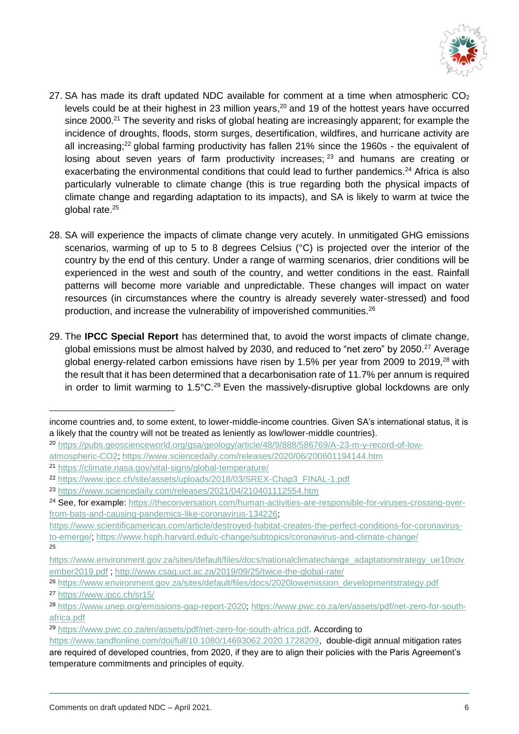

- 27. SA has made its draft updated NDC available for comment at a time when atmospheric  $CO<sub>2</sub>$ levels could be at their highest in 23 million years, <sup>20</sup> and 19 of the hottest years have occurred since 2000.<sup>21</sup> The severity and risks of global heating are increasingly apparent; for example the incidence of droughts, floods, storm surges, desertification, wildfires, and hurricane activity are all increasing;<sup>22</sup> global farming productivity has fallen 21% since the 1960s - the equivalent of losing about seven years of farm productivity increases; <sup>23</sup> and humans are creating or exacerbating the environmental conditions that could lead to further pandemics.<sup>24</sup> Africa is also particularly vulnerable to climate change (this is true regarding both the physical impacts of climate change and regarding adaptation to its impacts), and SA is likely to warm at twice the global rate.<sup>25</sup>
- 28. SA will experience the impacts of climate change very acutely. In unmitigated GHG emissions scenarios, warming of up to 5 to 8 degrees Celsius (°C) is projected over the interior of the country by the end of this century. Under a range of warming scenarios, drier conditions will be experienced in the west and south of the country, and wetter conditions in the east. Rainfall patterns will become more variable and unpredictable. These changes will impact on water resources (in circumstances where the country is already severely water-stressed) and food production, and increase the vulnerability of impoverished communities.<sup>26</sup>
- 29. The **IPCC Special Report** has determined that, to avoid the worst impacts of climate change, global emissions must be almost halved by 2030, and reduced to "net zero" by 2050.<sup>27</sup> Average global energy-related carbon emissions have risen by 1.5% per year from 2009 to 2019,<sup>28</sup> with the result that it has been determined that a decarbonisation rate of 11.7% per annum is required in order to limit warming to  $1.5^{\circ}$ C.<sup>29</sup> Even the massively-disruptive global lockdowns are only

income countries and, to some extent, to lower-middle-income countries. Given SA's international status, it is a likely that the country will not be treated as leniently as low/lower-middle countries).

<sup>20</sup> [https://pubs.geoscienceworld.org/gsa/geology/article/48/9/888/586769/A-23-m-y-record-of-low-](https://pubs.geoscienceworld.org/gsa/geology/article/48/9/888/586769/A-23-m-y-record-of-low-atmospheric-CO2)

[atmospheric-CO2;](https://pubs.geoscienceworld.org/gsa/geology/article/48/9/888/586769/A-23-m-y-record-of-low-atmospheric-CO2)<https://www.sciencedaily.com/releases/2020/06/200601194144.htm>

<sup>21</sup> <https://climate.nasa.gov/vital-signs/global-temperature/>

<sup>22</sup> [https://www.ipcc.ch/site/assets/uploads/2018/03/SREX-Chap3\\_FINAL-1.pdf](https://www.ipcc.ch/site/assets/uploads/2018/03/SREX-Chap3_FINAL-1.pdf)

<sup>23</sup> <https://www.sciencedaily.com/releases/2021/04/210401112554.htm>

<sup>&</sup>lt;sup>24</sup> See, for example: [https://theconversation.com/human-activities-are-responsible-for-viruses-crossing-over](https://theconversation.com/human-activities-are-responsible-for-viruses-crossing-over-from-bats-and-causing-pandemics-like-coronavirus-134226)[from-bats-and-causing-pandemics-like-coronavirus-134226;](https://theconversation.com/human-activities-are-responsible-for-viruses-crossing-over-from-bats-and-causing-pandemics-like-coronavirus-134226)

[https://www.scientificamerican.com/article/destroyed-habitat-creates-the-perfect-conditions-for-coronavirus](https://www.scientificamerican.com/article/destroyed-habitat-creates-the-perfect-conditions-for-coronavirus-to-emerge/)[to-emerge/;](https://www.scientificamerican.com/article/destroyed-habitat-creates-the-perfect-conditions-for-coronavirus-to-emerge/)<https://www.hsph.harvard.edu/c-change/subtopics/coronavirus-and-climate-change/> 25

[https://www.environment.gov.za/sites/default/files/docs/nationalclimatechange\\_adaptationstrategy\\_ue10nov](https://www.environment.gov.za/sites/default/files/docs/nationalclimatechange_adaptationstrategy_ue10november2019.pdf) [ember2019.pdf](https://www.environment.gov.za/sites/default/files/docs/nationalclimatechange_adaptationstrategy_ue10november2019.pdf) ;<http://www.csag.uct.ac.za/2019/09/25/twice-the-global-rate/>

<sup>26</sup> [https://www.environment.gov.za/sites/default/files/docs/2020lowemission\\_developmentstrategy.pdf](https://www.environment.gov.za/sites/default/files/docs/2020lowemission_developmentstrategy.pdf) <sup>27</sup> <https://www.ipcc.ch/sr15/>

<sup>28</sup> [https://www.unep.org/emissions-gap-report-2020;](https://www.unep.org/emissions-gap-report-2020) [https://www.pwc.co.za/en/assets/pdf/net-zero-for-south](https://www.pwc.co.za/en/assets/pdf/net-zero-for-south-africa.pdf)[africa.pdf](https://www.pwc.co.za/en/assets/pdf/net-zero-for-south-africa.pdf)

<sup>29</sup> [https://www.pwc.co.za/en/assets/pdf/net-zero-for-south-africa.pdf.](https://www.pwc.co.za/en/assets/pdf/net-zero-for-south-africa.pdf) According to

[https://www.tandfonline.com/doi/full/10.1080/14693062.2020.1728209,](https://www.tandfonline.com/doi/full/10.1080/14693062.2020.1728209) double-digit annual mitigation rates are required of developed countries, from 2020, if they are to align their policies with the Paris Agreement's temperature commitments and principles of equity.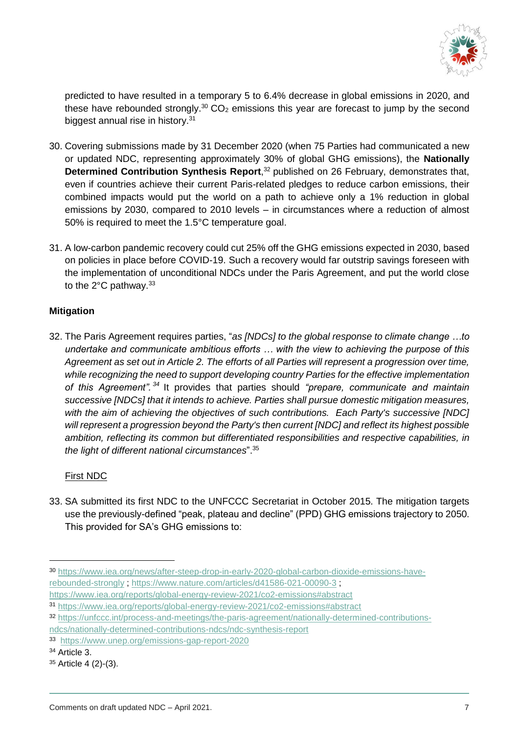

predicted to have resulted in a temporary 5 to 6.4% decrease in global emissions in 2020, and these have rebounded strongly.<sup>30</sup> CO<sub>2</sub> emissions this year are forecast to jump by the second biggest annual rise in history.<sup>31</sup>

- 30. Covering submissions made by 31 December 2020 (when 75 Parties had communicated a new or updated NDC, representing approximately 30% of global GHG emissions), the **Nationally Determined Contribution Synthesis Report**, <sup>32</sup> published on 26 February, demonstrates that, even if countries achieve their current Paris-related pledges to reduce carbon emissions, their combined impacts would put the world on a path to achieve only a 1% reduction in global emissions by 2030, compared to 2010 levels – in circumstances where a reduction of almost 50% is required to meet the 1.5°C temperature goal.
- 31. A low-carbon pandemic recovery could cut 25% off the GHG emissions expected in 2030, based on policies in place before COVID-19. Such a recovery would far outstrip savings foreseen with the implementation of unconditional NDCs under the Paris Agreement, and put the world close to the  $2^{\circ}$ C pathway.<sup>33</sup>

# **Mitigation**

32. The Paris Agreement requires parties, "*as [NDCs] to the global response to climate change …to undertake and communicate ambitious efforts … with the view to achieving the purpose of this Agreement as set out in Article 2. The efforts of all Parties will represent a progression over time, while recognizing the need to support developing country Parties for the effective implementation of this Agreement". <sup>34</sup>* It provides that parties should *"prepare, communicate and maintain successive [NDCs] that it intends to achieve. Parties shall pursue domestic mitigation measures, with the aim of achieving the objectives of such contributions. Each Party's successive [NDC] will represent a progression beyond the Party's then current [NDC] and reflect its highest possible ambition, reflecting its common but differentiated responsibilities and respective capabilities, in the light of different national circumstances*".<sup>35</sup>

# First NDC

33. SA submitted its first NDC to the UNFCCC Secretariat in October 2015. The mitigation targets use the previously-defined "peak, plateau and decline" (PPD) GHG emissions trajectory to 2050. This provided for SA's GHG emissions to:

<sup>34</sup> Article 3.

<sup>30</sup> [https://www.iea.org/news/after-steep-drop-in-early-2020-global-carbon-dioxide-emissions-have](https://www.iea.org/news/after-steep-drop-in-early-2020-global-carbon-dioxide-emissions-have-rebounded-strongly)[rebounded-strongly](https://www.iea.org/news/after-steep-drop-in-early-2020-global-carbon-dioxide-emissions-have-rebounded-strongly) ;<https://www.nature.com/articles/d41586-021-00090-3> ;

<https://www.iea.org/reports/global-energy-review-2021/co2-emissions#abstract>

<sup>31</sup> <https://www.iea.org/reports/global-energy-review-2021/co2-emissions#abstract>

<sup>32</sup> [https://unfccc.int/process-and-meetings/the-paris-agreement/nationally-determined-contributions-](https://unfccc.int/process-and-meetings/the-paris-agreement/nationally-determined-contributions-ndcs/nationally-determined-contributions-ndcs/ndc-synthesis-report)

[ndcs/nationally-determined-contributions-ndcs/ndc-synthesis-report](https://unfccc.int/process-and-meetings/the-paris-agreement/nationally-determined-contributions-ndcs/nationally-determined-contributions-ndcs/ndc-synthesis-report)

<sup>33</sup> <https://www.unep.org/emissions-gap-report-2020>

<sup>35</sup> Article 4 (2)-(3).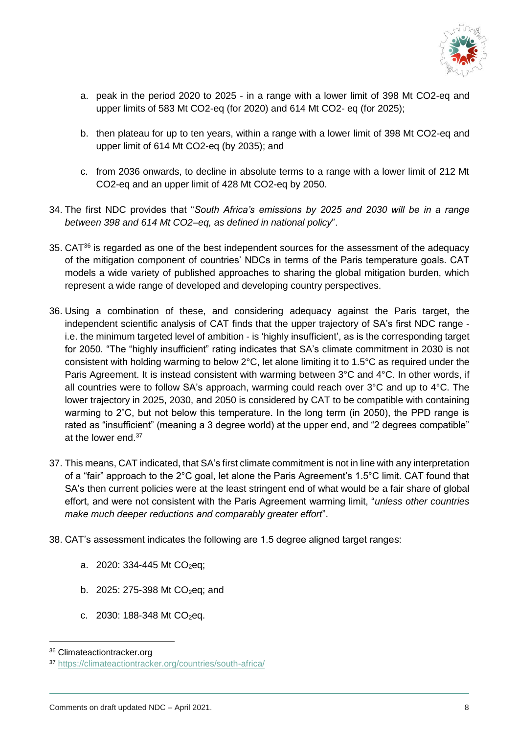

- a. peak in the period 2020 to 2025 in a range with a lower limit of 398 Mt CO2-eq and upper limits of 583 Mt CO2-eq (for 2020) and 614 Mt CO2- eq (for 2025);
- b. then plateau for up to ten years, within a range with a lower limit of 398 Mt CO2-eq and upper limit of 614 Mt CO2-eq (by 2035); and
- c. from 2036 onwards, to decline in absolute terms to a range with a lower limit of 212 Mt CO2-eq and an upper limit of 428 Mt CO2-eq by 2050.
- 34. The first NDC provides that "*South Africa's emissions by 2025 and 2030 will be in a range between 398 and 614 Mt CO2–eq, as defined in national policy*".
- 35. CAT<sup>36</sup> is regarded as one of the best independent sources for the assessment of the adequacy of the mitigation component of countries' NDCs in terms of the Paris temperature goals. CAT models a wide variety of published approaches to sharing the global mitigation burden, which represent a wide range of developed and developing country perspectives.
- 36. Using a combination of these, and considering adequacy against the Paris target, the independent scientific analysis of CAT finds that the upper trajectory of SA's first NDC range i.e. the minimum targeted level of ambition - is 'highly insufficient', as is the corresponding target for 2050. "The "highly insufficient" rating indicates that SA's climate commitment in 2030 is not consistent with holding warming to below 2°C, let alone limiting it to 1.5°C as required under the Paris Agreement. It is instead consistent with warming between 3°C and 4°C. In other words, if all countries were to follow SA's approach, warming could reach over 3°C and up to 4°C. The lower trajectory in 2025, 2030, and 2050 is considered by CAT to be compatible with containing warming to 2˚C, but not below this temperature. In the long term (in 2050), the PPD range is rated as "insufficient" (meaning a 3 degree world) at the upper end, and "2 degrees compatible" at the lower end.<sup>37</sup>
- 37. This means, CAT indicated, that SA's first climate commitment is not in line with any interpretation of a "fair" approach to the 2°C goal, let alone the Paris Agreement's 1.5°C limit. CAT found that SA's then current policies were at the least stringent end of what would be a fair share of global effort, and were not consistent with the Paris Agreement warming limit, "*unless other countries make much deeper reductions and comparably greater effort*".
- 38. CAT's assessment indicates the following are 1.5 degree aligned target ranges:
	- a. 2020: 334-445 Mt CO<sub>2</sub>eq;
	- b. 2025: 275-398 Mt  $CO<sub>2</sub>$ eq; and
	- c. 2030: 188-348 Mt  $CO<sub>2</sub>$ eq.

<sup>36</sup> Climateactiontracker.org

<sup>37</sup> <https://climateactiontracker.org/countries/south-africa/>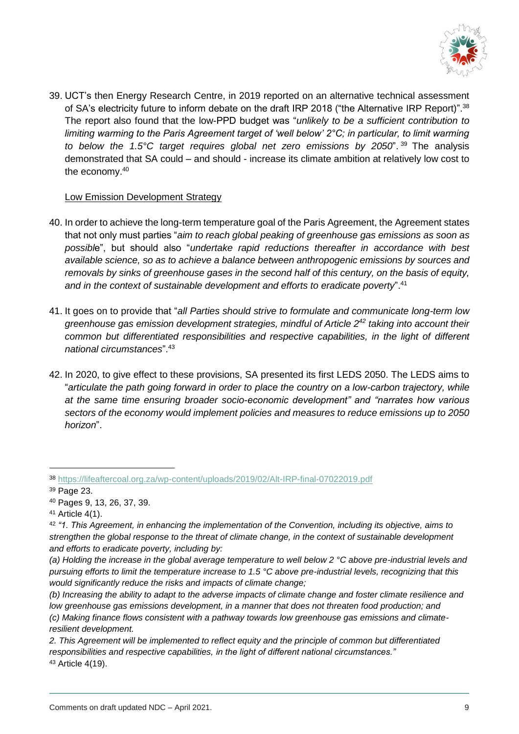

39. UCT's then Energy Research Centre, in 2019 reported on an alternative technical assessment of SA's electricity future to inform debate on the draft IRP 2018 ("the Alternative IRP Report)".<sup>38</sup> The report also found that the low-PPD budget was "*unlikely to be a sufficient contribution to limiting warming to the Paris Agreement target of 'well below' 2°C; in particular, to limit warming to below the 1.5°C target requires global net zero emissions by 2050*". <sup>39</sup> The analysis demonstrated that SA could – and should - increase its climate ambition at relatively low cost to the economy.<sup>40</sup>

# Low Emission Development Strategy

- 40. In order to achieve the long-term temperature goal of the Paris Agreement, the Agreement states that not only must parties "*aim to reach global peaking of greenhouse gas emissions as soon as possibl*e", but should also "*undertake rapid reductions thereafter in accordance with best available science, so as to achieve a balance between anthropogenic emissions by sources and removals by sinks of greenhouse gases in the second half of this century, on the basis of equity, and in the context of sustainable development and efforts to eradicate poverty*".<sup>41</sup>
- 41. It goes on to provide that "*all Parties should strive to formulate and communicate long-term low greenhouse gas emission development strategies, mindful of Article 2<sup>42</sup> taking into account their common but differentiated responsibilities and respective capabilities, in the light of different national circumstances*".<sup>43</sup>
- 42. In 2020, to give effect to these provisions, SA presented its first LEDS 2050. The LEDS aims to "*articulate the path going forward in order to place the country on a low-carbon trajectory, while at the same time ensuring broader socio-economic development" and "narrates how various sectors of the economy would implement policies and measures to reduce emissions up to 2050 horizon*".

-

<sup>41</sup> Article 4(1).

<sup>38</sup> <https://lifeaftercoal.org.za/wp-content/uploads/2019/02/Alt-IRP-final-07022019.pdf>

<sup>39</sup> Page 23.

<sup>40</sup> Pages 9, 13, 26, 37, 39.

<sup>42</sup> *"1. This Agreement, in enhancing the implementation of the Convention, including its objective, aims to strengthen the global response to the threat of climate change, in the context of sustainable development and efforts to eradicate poverty, including by:* 

*<sup>(</sup>a) Holding the increase in the global average temperature to well below 2 °C above pre-industrial levels and pursuing efforts to limit the temperature increase to 1.5 °C above pre-industrial levels, recognizing that this would significantly reduce the risks and impacts of climate change;* 

*<sup>(</sup>b) Increasing the ability to adapt to the adverse impacts of climate change and foster climate resilience and low greenhouse gas emissions development, in a manner that does not threaten food production; and (c) Making finance flows consistent with a pathway towards low greenhouse gas emissions and climateresilient development.* 

*<sup>2.</sup> This Agreement will be implemented to reflect equity and the principle of common but differentiated responsibilities and respective capabilities, in the light of different national circumstances."* <sup>43</sup> Article 4(19).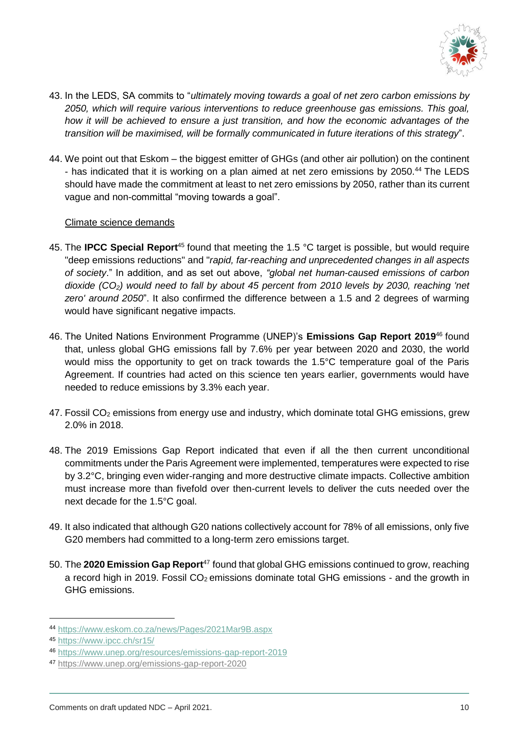

- 43. In the LEDS, SA commits to "*ultimately moving towards a goal of net zero carbon emissions by 2050, which will require various interventions to reduce greenhouse gas emissions. This goal, how it will be achieved to ensure a just transition, and how the economic advantages of the transition will be maximised, will be formally communicated in future iterations of this strategy*".
- 44. We point out that Eskom the biggest emitter of GHGs (and other air pollution) on the continent - has indicated that it is working on a plan aimed at net zero emissions by 2050.<sup>44</sup> The LEDS should have made the commitment at least to net zero emissions by 2050, rather than its current vague and non-committal "moving towards a goal".

## Climate science demands

- 45. The **IPCC Special Report**<sup>45</sup> found that meeting the 1.5 °C target is possible, but would require "deep emissions reductions" and "*rapid, far-reaching and unprecedented changes in all aspects of society*." In addition, and as set out above, *"global net human-caused emissions of carbon dioxide (CO2) would need to fall by about 45 percent from 2010 levels by 2030, reaching 'net zero' around 2050*". It also confirmed the difference between a 1.5 and 2 degrees of warming would have significant negative impacts.
- 46. The United Nations Environment Programme (UNEP)'s **Emissions Gap Report 2019**<sup>46</sup> found that, unless global GHG emissions fall by 7.6% per year between 2020 and 2030, the world would miss the opportunity to get on track towards the 1.5°C temperature goal of the Paris Agreement. If countries had acted on this science ten years earlier, governments would have needed to reduce emissions by 3.3% each year.
- 47. Fossil CO<sub>2</sub> emissions from energy use and industry, which dominate total GHG emissions, grew 2.0% in 2018.
- 48. The 2019 Emissions Gap Report indicated that even if all the then current unconditional commitments under the Paris Agreement were implemented, temperatures were expected to rise by 3.2°C, bringing even wider-ranging and more destructive climate impacts. Collective ambition must increase more than fivefold over then-current levels to deliver the cuts needed over the next decade for the 1.5°C goal.
- 49. It also indicated that although G20 nations collectively account for 78% of all emissions, only five G20 members had committed to a long-term zero emissions target.
- 50. The 2020 Emission Gap Report<sup>47</sup> found that global GHG emissions continued to grow, reaching a record high in 2019. Fossil  $CO<sub>2</sub>$  emissions dominate total GHG emissions - and the growth in GHG emissions.

<sup>44</sup> <https://www.eskom.co.za/news/Pages/2021Mar9B.aspx>

<sup>45</sup> <https://www.ipcc.ch/sr15/>

<sup>46</sup> <https://www.unep.org/resources/emissions-gap-report-2019>

<sup>47</sup> <https://www.unep.org/emissions-gap-report-2020>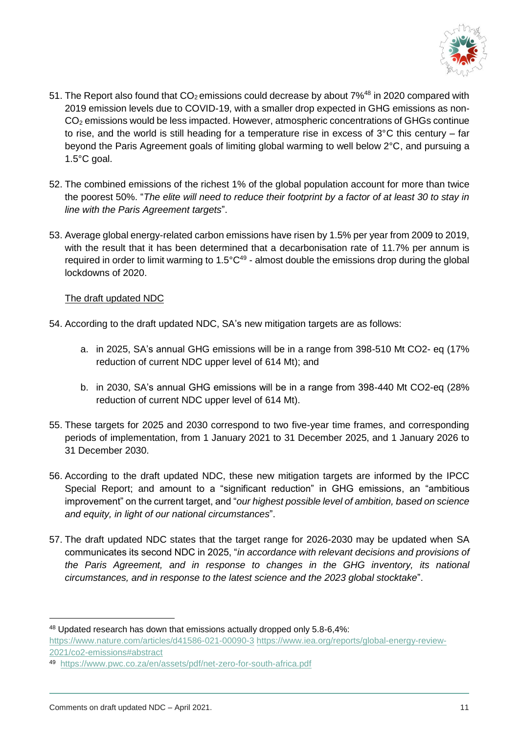

- 51. The Report also found that  $CO<sub>2</sub>$  emissions could decrease by about 7%<sup>48</sup> in 2020 compared with 2019 emission levels due to COVID-19, with a smaller drop expected in GHG emissions as non-CO<sup>2</sup> emissions would be less impacted. However, atmospheric concentrations of GHGs continue to rise, and the world is still heading for a temperature rise in excess of  $3^{\circ}$ C this century – far beyond the Paris Agreement goals of limiting global warming to well below 2°C, and pursuing a 1.5°C goal.
- 52. The combined emissions of the richest 1% of the global population account for more than twice the poorest 50%. "*The elite will need to reduce their footprint by a factor of at least 30 to stay in line with the Paris Agreement targets*".
- 53. Average global energy-related carbon emissions have risen by 1.5% per year from 2009 to 2019, with the result that it has been determined that a decarbonisation rate of 11.7% per annum is required in order to limit warming to 1.5 $^{\circ}$ C<sup>49</sup> - almost double the emissions drop during the global lockdowns of 2020.

## The draft updated NDC

- 54. According to the draft updated NDC, SA's new mitigation targets are as follows:
	- a. in 2025, SA's annual GHG emissions will be in a range from 398-510 Mt CO2- eq (17% reduction of current NDC upper level of 614 Mt); and
	- b. in 2030, SA's annual GHG emissions will be in a range from 398-440 Mt CO2-eq (28% reduction of current NDC upper level of 614 Mt).
- 55. These targets for 2025 and 2030 correspond to two five-year time frames, and corresponding periods of implementation, from 1 January 2021 to 31 December 2025, and 1 January 2026 to 31 December 2030.
- 56. According to the draft updated NDC, these new mitigation targets are informed by the IPCC Special Report; and amount to a "significant reduction" in GHG emissions, an "ambitious improvement" on the current target, and "*our highest possible level of ambition, based on science and equity, in light of our national circumstances*".
- 57. The draft updated NDC states that the target range for 2026-2030 may be updated when SA communicates its second NDC in 2025, "*in accordance with relevant decisions and provisions of the Paris Agreement, and in response to changes in the GHG inventory, its national circumstances, and in response to the latest science and the 2023 global stocktake*".

<sup>48</sup> Updated research has down that emissions actually dropped only 5.8-6,4%:

<https://www.nature.com/articles/d41586-021-00090-3> [https://www.iea.org/reports/global-energy-review-](https://www.iea.org/reports/global-energy-review-2021/co2-emissions#abstract)[2021/co2-emissions#abstract](https://www.iea.org/reports/global-energy-review-2021/co2-emissions#abstract)

<sup>49</sup> <https://www.pwc.co.za/en/assets/pdf/net-zero-for-south-africa.pdf>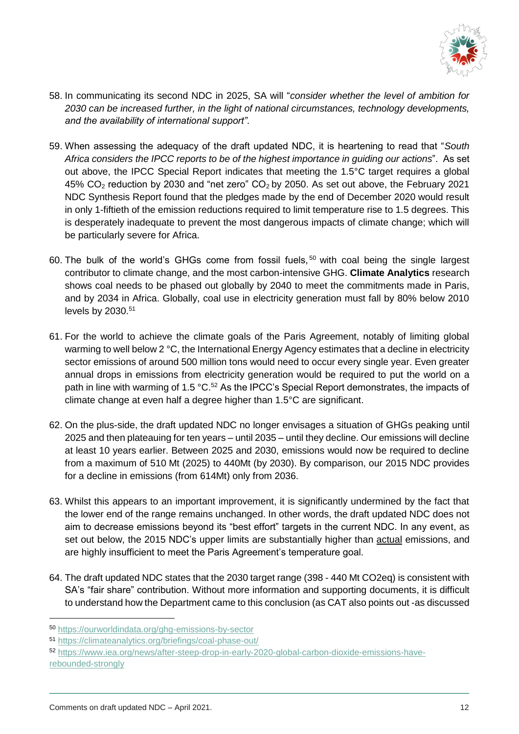

- 58. In communicating its second NDC in 2025, SA will "*consider whether the level of ambition for 2030 can be increased further, in the light of national circumstances, technology developments, and the availability of international support"*.
- 59. When assessing the adequacy of the draft updated NDC, it is heartening to read that "*South Africa considers the IPCC reports to be of the highest importance in guiding our actions*". As set out above, the IPCC Special Report indicates that meeting the 1.5°C target requires a global 45%  $CO<sub>2</sub>$  reduction by 2030 and "net zero"  $CO<sub>2</sub>$  by 2050. As set out above, the February 2021 NDC Synthesis Report found that the pledges made by the end of December 2020 would result in only 1-fiftieth of the emission reductions required to limit temperature rise to 1.5 degrees. This is desperately inadequate to prevent the most dangerous impacts of climate change; which will be particularly severe for Africa.
- 60. The bulk of the world's GHGs come from fossil fuels, <sup>50</sup> with coal being the single largest contributor to climate change, and the most carbon-intensive GHG. **Climate Analytics** research shows coal needs to be phased out globally by 2040 to meet the commitments made in Paris, and by 2034 in Africa. Globally, coal use in electricity generation must fall by 80% below 2010 levels by 2030.<sup>51</sup>
- 61. For the world to achieve the climate goals of the Paris Agreement, notably of limiting global warming to well below 2 °C, the International Energy Agency estimates that a decline in electricity sector emissions of around 500 million tons would need to occur every single year. Even greater annual drops in emissions from electricity generation would be required to put the world on a path in line with warming of 1.5 °C.<sup>52</sup> As the IPCC's Special Report demonstrates, the impacts of climate change at even half a degree higher than 1.5°C are significant.
- 62. On the plus-side, the draft updated NDC no longer envisages a situation of GHGs peaking until 2025 and then plateauing for ten years – until 2035 – until they decline. Our emissions will decline at least 10 years earlier. Between 2025 and 2030, emissions would now be required to decline from a maximum of 510 Mt (2025) to 440Mt (by 2030). By comparison, our 2015 NDC provides for a decline in emissions (from 614Mt) only from 2036.
- 63. Whilst this appears to an important improvement, it is significantly undermined by the fact that the lower end of the range remains unchanged. In other words, the draft updated NDC does not aim to decrease emissions beyond its "best effort" targets in the current NDC. In any event, as set out below, the 2015 NDC's upper limits are substantially higher than actual emissions, and are highly insufficient to meet the Paris Agreement's temperature goal.
- 64. The draft updated NDC states that the 2030 target range (398 440 Mt CO2eq) is consistent with SA's "fair share" contribution. Without more information and supporting documents, it is difficult to understand how the Department came to this conclusion (as CAT also points out -as discussed

<sup>50</sup> <https://ourworldindata.org/ghg-emissions-by-sector>

<sup>51</sup> <https://climateanalytics.org/briefings/coal-phase-out/>

<sup>52</sup> [https://www.iea.org/news/after-steep-drop-in-early-2020-global-carbon-dioxide-emissions-have](https://www.iea.org/news/after-steep-drop-in-early-2020-global-carbon-dioxide-emissions-have-rebounded-strongly)[rebounded-strongly](https://www.iea.org/news/after-steep-drop-in-early-2020-global-carbon-dioxide-emissions-have-rebounded-strongly)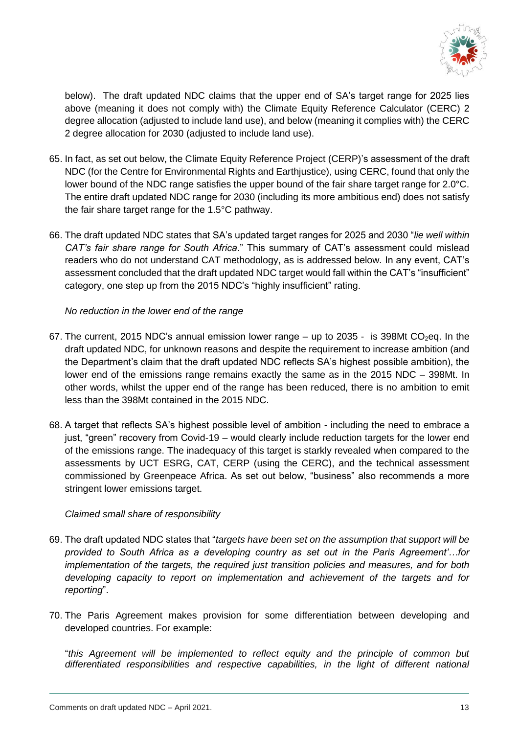

below). The draft updated NDC claims that the upper end of SA's target range for 2025 lies above (meaning it does not comply with) the Climate Equity Reference Calculator (CERC) 2 degree allocation (adjusted to include land use), and below (meaning it complies with) the CERC 2 degree allocation for 2030 (adjusted to include land use).

- 65. In fact, as set out below, the Climate Equity Reference Project (CERP)'s assessment of the draft NDC (for the Centre for Environmental Rights and Earthjustice), using CERC, found that only the lower bound of the NDC range satisfies the upper bound of the fair share target range for 2.0°C. The entire draft updated NDC range for 2030 (including its more ambitious end) does not satisfy the fair share target range for the 1.5°C pathway.
- 66. The draft updated NDC states that SA's updated target ranges for 2025 and 2030 "*lie well within CAT's fair share range for South Africa*." This summary of CAT's assessment could mislead readers who do not understand CAT methodology, as is addressed below. In any event, CAT's assessment concluded that the draft updated NDC target would fall within the CAT's "insufficient" category, one step up from the 2015 NDC's "highly insufficient" rating.

*No reduction in the lower end of the range*

- 67. The current, 2015 NDC's annual emission lower range up to 2035 is 398Mt CO<sub>2</sub>eq. In the draft updated NDC, for unknown reasons and despite the requirement to increase ambition (and the Department's claim that the draft updated NDC reflects SA's highest possible ambition), the lower end of the emissions range remains exactly the same as in the 2015 NDC – 398Mt. In other words, whilst the upper end of the range has been reduced, there is no ambition to emit less than the 398Mt contained in the 2015 NDC.
- 68. A target that reflects SA's highest possible level of ambition including the need to embrace a just, "green" recovery from Covid-19 – would clearly include reduction targets for the lower end of the emissions range. The inadequacy of this target is starkly revealed when compared to the assessments by UCT ESRG, CAT, CERP (using the CERC), and the technical assessment commissioned by Greenpeace Africa. As set out below, "business" also recommends a more stringent lower emissions target.

# *Claimed small share of responsibility*

- 69. The draft updated NDC states that "*targets have been set on the assumption that support will be provided to South Africa as a developing country as set out in the Paris Agreement'…for implementation of the targets, the required just transition policies and measures, and for both developing capacity to report on implementation and achievement of the targets and for reporting*".
- 70. The Paris Agreement makes provision for some differentiation between developing and developed countries. For example:

"*this Agreement will be implemented to reflect equity and the principle of common but differentiated responsibilities and respective capabilities, in the light of different national*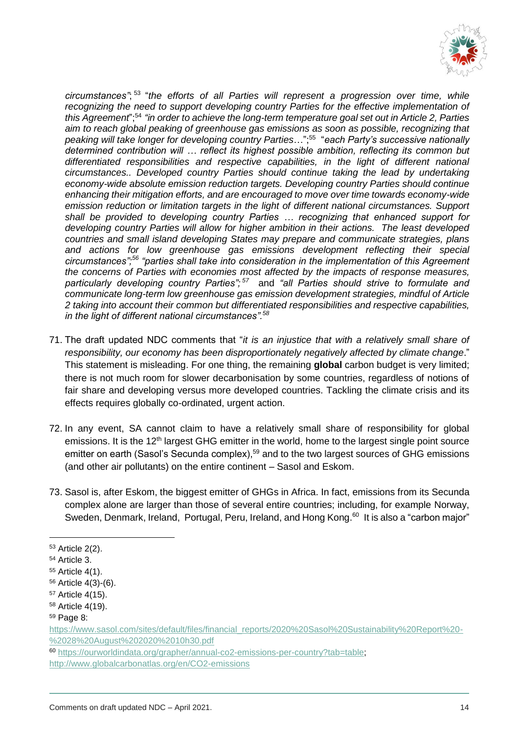

*circumstances"*; 53 "*the efforts of all Parties will represent a progression over time, while*  recognizing the need to support developing country Parties for the effective implementation of *this Agreement*";<sup>54</sup> *"in order to achieve the long-term temperature goal set out in Article 2, Parties aim to reach global peaking of greenhouse gas emissions as soon as possible, recognizing that peaking will take longer for developing country Parties*…";<sup>55</sup> "*each Party's successive nationally determined contribution will … reflect its highest possible ambition, reflecting its common but differentiated responsibilities and respective capabilities, in the light of different national circumstances.. Developed country Parties should continue taking the lead by undertaking economy-wide absolute emission reduction targets. Developing country Parties should continue enhancing their mitigation efforts, and are encouraged to move over time towards economy-wide emission reduction or limitation targets in the light of different national circumstances. Support shall be provided to developing country Parties … recognizing that enhanced support for developing country Parties will allow for higher ambition in their actions. The least developed countries and small island developing States may prepare and communicate strategies, plans and actions for low greenhouse gas emissions development reflecting their special circumstances";<sup>56</sup> "parties shall take into consideration in the implementation of this Agreement the concerns of Parties with economies most affected by the impacts of response measures,*  particularly developing country Parties";<sup>57</sup> and "all Parties should strive to formulate and *communicate long-term low greenhouse gas emission development strategies, mindful of Article 2 taking into account their common but differentiated responsibilities and respective capabilities, in the light of different national circumstances".<sup>58</sup>*

- 71. The draft updated NDC comments that "*it is an injustice that with a relatively small share of responsibility, our economy has been disproportionately negatively affected by climate change*." This statement is misleading. For one thing, the remaining **global** carbon budget is very limited; there is not much room for slower decarbonisation by some countries, regardless of notions of fair share and developing versus more developed countries. Tackling the climate crisis and its effects requires globally co-ordinated, urgent action.
- 72. In any event, SA cannot claim to have a relatively small share of responsibility for global emissions. It is the 12<sup>th</sup> largest GHG emitter in the world, home to the largest single point source emitter on earth (Sasol's Secunda complex),<sup>59</sup> and to the two largest sources of GHG emissions (and other air pollutants) on the entire continent – Sasol and Eskom.
- 73. Sasol is, after Eskom, the biggest emitter of GHGs in Africa. In fact, emissions from its Secunda complex alone are larger than those of several entire countries; including, for example Norway, Sweden, Denmark, Ireland, Portugal, Peru, Ireland, and Hong Kong.<sup>60</sup> It is also a "carbon major"

<sup>53</sup> Article 2(2).

<sup>54</sup> Article 3.

<sup>55</sup> Article 4(1).

<sup>56</sup> Article 4(3)-(6).

<sup>57</sup> Article 4(15).

<sup>58</sup> Article 4(19).

<sup>59</sup> Page 8:

[https://www.sasol.com/sites/default/files/financial\\_reports/2020%20Sasol%20Sustainability%20Report%20-](https://www.sasol.com/sites/default/files/financial_reports/2020%20Sasol%20Sustainability%20Report%20-%2028%20August%202020%2010h30.pdf) [%2028%20August%202020%2010h30.pdf](https://www.sasol.com/sites/default/files/financial_reports/2020%20Sasol%20Sustainability%20Report%20-%2028%20August%202020%2010h30.pdf)

<sup>60</sup> [https://ourworldindata.org/grapher/annual-co2-emissions-per-country?tab=table;](https://ourworldindata.org/grapher/annual-co2-emissions-per-country?tab=table) <http://www.globalcarbonatlas.org/en/CO2-emissions>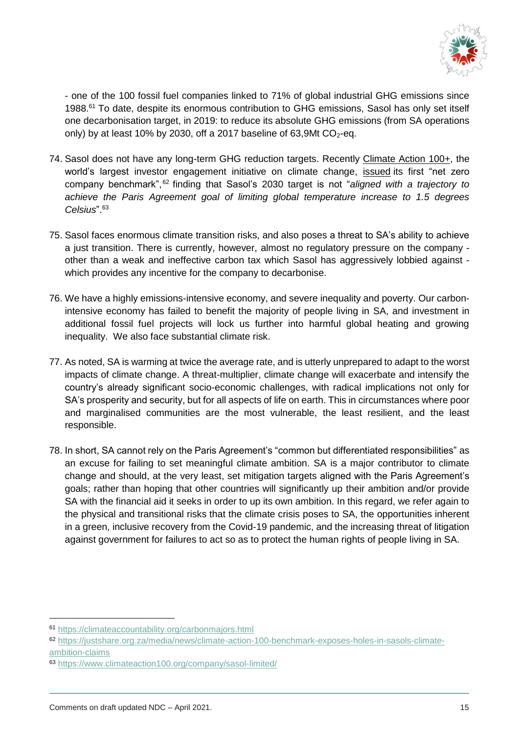

- one of the 100 fossil fuel companies linked to 71% of global industrial GHG emissions since 1988.<sup>61</sup> To date, despite its enormous contribution to GHG emissions, Sasol has only set itself one decarbonisation target, in 2019: to reduce its absolute GHG emissions (from SA operations only) by at least 10% by 2030, off a 2017 baseline of 63,9Mt  $CO_2$ -eq.

- 74. Sasol does not have any long-term GHG reduction targets. Recently [Climate Action 100+,](https://www.climateaction100.org/) the world's largest investor engagement initiative on climate change, [issued](https://www.climateaction100.org/news/climate-action-100-issues-its-first-ever-net-zero-company-benchmark-of-the-worlds-largest-corporate-emitters/) its first "net zero company benchmark", <sup>62</sup> finding that Sasol's 2030 target is not "*aligned with a trajectory to achieve the Paris Agreement goal of limiting global temperature increase to 1.5 degrees Celsius*". 63
- 75. Sasol faces enormous climate transition risks, and also poses a threat to SA's ability to achieve a just transition. There is currently, however, almost no regulatory pressure on the company other than a weak and ineffective carbon tax which Sasol has aggressively lobbied against which provides any incentive for the company to decarbonise.
- 76. We have a highly emissions-intensive economy, and severe inequality and poverty. Our carbonintensive economy has failed to benefit the majority of people living in SA, and investment in additional fossil fuel projects will lock us further into harmful global heating and growing inequality. We also face substantial climate risk.
- 77. As noted, SA is warming at twice the average rate, and is utterly unprepared to adapt to the worst impacts of climate change. A threat-multiplier, climate change will exacerbate and intensify the country's already significant socio-economic challenges, with radical implications not only for SA's prosperity and security, but for all aspects of life on earth. This in circumstances where poor and marginalised communities are the most vulnerable, the least resilient, and the least responsible.
- 78. In short, SA cannot rely on the Paris Agreement's "common but differentiated responsibilities" as an excuse for failing to set meaningful climate ambition. SA is a major contributor to climate change and should, at the very least, set mitigation targets aligned with the Paris Agreement's goals; rather than hoping that other countries will significantly up their ambition and/or provide SA with the financial aid it seeks in order to up its own ambition. In this regard, we refer again to the physical and transitional risks that the climate crisis poses to SA, the opportunities inherent in a green, inclusive recovery from the Covid-19 pandemic, and the increasing threat of litigation against government for failures to act so as to protect the human rights of people living in SA.

<sup>61</sup> <https://climateaccountability.org/carbonmajors.html>

<sup>62</sup> [https://justshare.org.za/media/news/climate-action-100-benchmark-exposes-holes-in-sasols-climate](https://justshare.org.za/media/news/climate-action-100-benchmark-exposes-holes-in-sasols-climate-ambition-claims)[ambition-claims](https://justshare.org.za/media/news/climate-action-100-benchmark-exposes-holes-in-sasols-climate-ambition-claims)

<sup>63</sup> <https://www.climateaction100.org/company/sasol-limited/>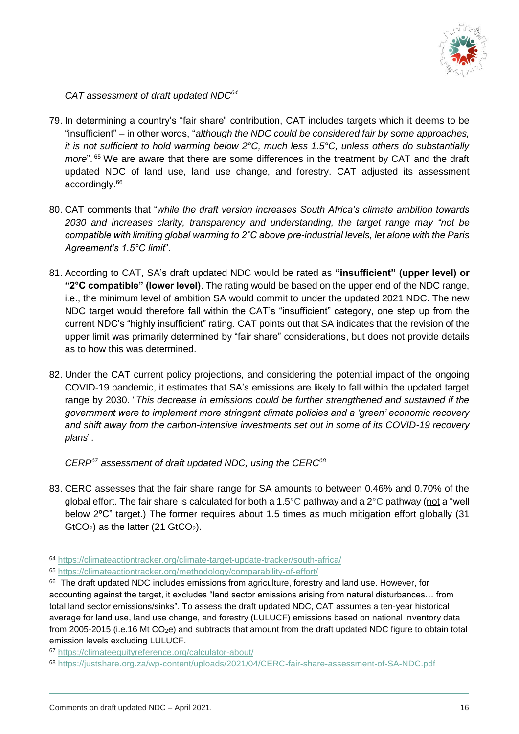

*CAT assessment of draft updated NDC<sup>64</sup>*

- 79. In determining a country's "fair share" contribution, CAT includes targets which it deems to be "insufficient" – in other words, "*although the NDC could be considered fair by some approaches, it is not sufficient to hold warming below 2°C, much less 1.5°C, unless others do substantially more*". <sup>65</sup> We are aware that there are some differences in the treatment by CAT and the draft updated NDC of land use, land use change, and forestry. CAT adjusted its assessment accordingly.<sup>66</sup>
- 80. CAT comments that "*while the draft version increases South Africa's climate ambition towards 2030 and increases clarity, transparency and understanding, the target range may "not be compatible with limiting global warming to 2˚C above pre-industrial levels, let alone with the Paris Agreement's 1.5°C limit*".
- 81. According to CAT, SA's draft updated NDC would be rated as **"insufficient" (upper level) or "2°C compatible" (lower level)**. The rating would be based on the upper end of the NDC range, i.e., the minimum level of ambition SA would commit to under the updated 2021 NDC. The new NDC target would therefore fall within the CAT's "insufficient" category, one step up from the current NDC's "highly insufficient" rating. CAT points out that SA indicates that the revision of the upper limit was primarily determined by "fair share" considerations, but does not provide details as to how this was determined.
- 82. Under the CAT current policy projections, and considering the potential impact of the ongoing COVID-19 pandemic, it estimates that SA's emissions are likely to fall within the updated target range by 2030. "*This decrease in emissions could be further strengthened and sustained if the government were to implement more stringent climate policies and a 'green' economic recovery and shift away from the carbon-intensive investments set out in some of its COVID-19 recovery plans*".

*CERP <sup>67</sup> assessment of draft updated NDC, using the CERC<sup>68</sup>*

83. CERC assesses that the fair share range for SA amounts to between 0.46% and 0.70% of the global effort. The fair share is calculated for both a 1.5°C pathway and a 2°C pathway (not a "well below 2ºC" target.) The former requires about 1.5 times as much mitigation effort globally (31  $GtCO<sub>2</sub>$ ) as the latter (21  $GtCO<sub>2</sub>$ ).

<sup>64</sup> <https://climateactiontracker.org/climate-target-update-tracker/south-africa/>

<sup>65</sup> <https://climateactiontracker.org/methodology/comparability-of-effort/>

<sup>&</sup>lt;sup>66</sup> The draft updated NDC includes emissions from agriculture, forestry and land use. However, for accounting against the target, it excludes "land sector emissions arising from natural disturbances… from total land sector emissions/sinks". To assess the draft updated NDC, CAT assumes a ten-year historical average for land use, land use change, and forestry (LULUCF) emissions based on national inventory data from 2005-2015 (i.e.16 Mt CO2e) and subtracts that amount from the draft updated NDC figure to obtain total emission levels excluding LULUCF.

<sup>67</sup> <https://climateequityreference.org/calculator-about/>

<sup>68</sup> <https://justshare.org.za/wp-content/uploads/2021/04/CERC-fair-share-assessment-of-SA-NDC.pdf>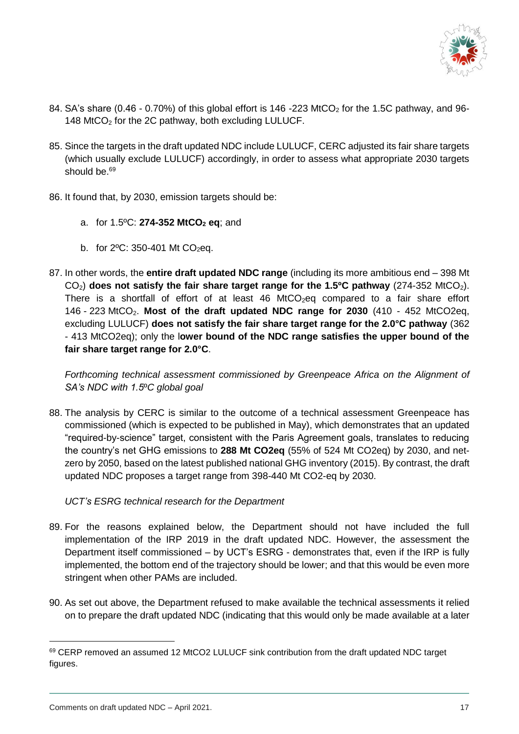

- 84. SA's share (0.46 0.70%) of this global effort is 146 -223 MtCO<sub>2</sub> for the 1.5C pathway, and 96-148 MtCO<sub>2</sub> for the 2C pathway, both excluding LULUCF.
- 85. Since the targets in the draft updated NDC include LULUCF, CERC adjusted its fair share targets (which usually exclude LULUCF) accordingly, in order to assess what appropriate 2030 targets should be.<sup>69</sup>
- 86. It found that, by 2030, emission targets should be:
	- a. for 1.5ºC: **274-352 MtCO<sup>2</sup> eq**; and
	- b. for  $2^{\circ}$ C: 350-401 Mt CO<sub>2</sub>eq.
- 87. In other words, the **entire draft updated NDC range** (including its more ambitious end 398 Mt CO2) **does not satisfy the fair share target range for the 1.5ºC pathway** (274-352 MtCO2). There is a shortfall of effort of at least  $46$  MtCO<sub>2</sub>eq compared to a fair share effort 146 - 223 MtCO2. **Most of the draft updated NDC range for 2030** (410 - 452 MtCO2eq, excluding LULUCF) **does not satisfy the fair share target range for the 2.0°C pathway** (362 - 413 MtCO2eq); only the l**ower bound of the NDC range satisfies the upper bound of the fair share target range for 2.0°C**.

*Forthcoming technical assessment commissioned by Greenpeace Africa on the Alignment of SA's NDC with 1.5*º*C global goal*

88. The analysis by CERC is similar to the outcome of a technical assessment Greenpeace has commissioned (which is expected to be published in May), which demonstrates that an updated "required-by-science" target, consistent with the Paris Agreement goals, translates to reducing the country's net GHG emissions to **288 Mt CO2eq** (55% of 524 Mt CO2eq) by 2030, and netzero by 2050, based on the latest published national GHG inventory (2015). By contrast, the draft updated NDC proposes a target range from 398-440 Mt CO2-eq by 2030.

*UCT's ESRG technical research for the Department*

- 89. For the reasons explained below, the Department should not have included the full implementation of the IRP 2019 in the draft updated NDC. However, the assessment the Department itself commissioned – by UCT's ESRG - demonstrates that, even if the IRP is fully implemented, the bottom end of the trajectory should be lower; and that this would be even more stringent when other PAMs are included.
- 90. As set out above, the Department refused to make available the technical assessments it relied on to prepare the draft updated NDC (indicating that this would only be made available at a later

<sup>69</sup> CERP removed an assumed 12 MtCO2 LULUCF sink contribution from the draft updated NDC target figures.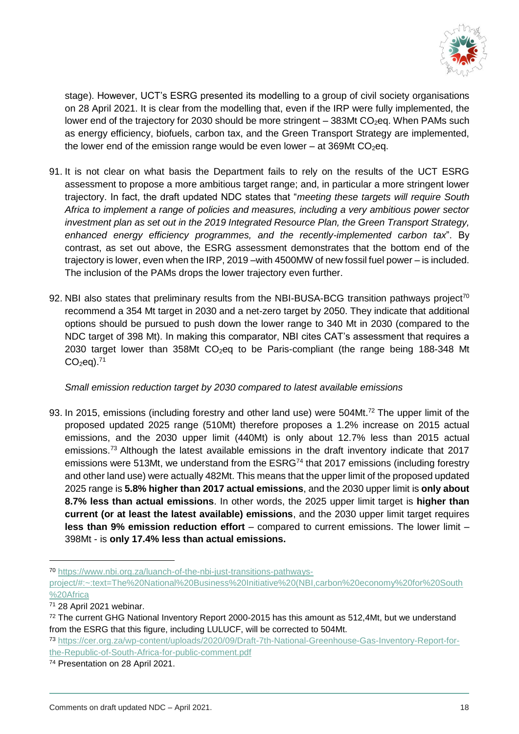

stage). However, UCT's ESRG presented its modelling to a group of civil society organisations on 28 April 2021. It is clear from the modelling that, even if the IRP were fully implemented, the lower end of the trajectory for 2030 should be more stringent  $-$  383Mt CO<sub>2</sub>eq. When PAMs such as energy efficiency, biofuels, carbon tax, and the Green Transport Strategy are implemented, the lower end of the emission range would be even lower – at  $369Mt$  CO<sub>2</sub>eq.

- 91. It is not clear on what basis the Department fails to rely on the results of the UCT ESRG assessment to propose a more ambitious target range; and, in particular a more stringent lower trajectory. In fact, the draft updated NDC states that "*meeting these targets will require South Africa to implement a range of policies and measures, including a very ambitious power sector investment plan as set out in the 2019 Integrated Resource Plan, the Green Transport Strategy, enhanced energy efficiency programmes, and the recently-implemented carbon tax*". By contrast, as set out above, the ESRG assessment demonstrates that the bottom end of the trajectory is lower, even when the IRP, 2019 –with 4500MW of new fossil fuel power – is included. The inclusion of the PAMs drops the lower trajectory even further.
- 92. NBI also states that preliminary results from the NBI-BUSA-BCG transition pathways project<sup>70</sup> recommend a 354 Mt target in 2030 and a net-zero target by 2050. They indicate that additional options should be pursued to push down the lower range to 340 Mt in 2030 (compared to the NDC target of 398 Mt). In making this comparator, NBI cites CAT's assessment that requires a 2030 target lower than 358Mt  $CO<sub>2</sub>$ eg to be Paris-compliant (the range being 188-348 Mt  $CO<sub>2</sub>ea$ ).<sup>71</sup>

*Small emission reduction target by 2030 compared to latest available emissions*

93. In 2015, emissions (including forestry and other land use) were 504Mt.<sup>72</sup> The upper limit of the proposed updated 2025 range (510Mt) therefore proposes a 1.2% increase on 2015 actual emissions, and the 2030 upper limit (440Mt) is only about 12.7% less than 2015 actual emissions.<sup>73</sup> Although the latest available emissions in the draft inventory indicate that 2017 emissions were 513Mt, we understand from the ESRG<sup>74</sup> that 2017 emissions (including forestry and other land use) were actually 482Mt. This means that the upper limit of the proposed updated 2025 range is **5.8% higher than 2017 actual emissions**, and the 2030 upper limit is **only about 8.7% less than actual emissions**. In other words, the 2025 upper limit target is **higher than current (or at least the latest available) emissions**, and the 2030 upper limit target requires **less than 9% emission reduction effort** – compared to current emissions. The lower limit – 398Mt - is **only 17.4% less than actual emissions.**

<sup>70</sup> [https://www.nbi.org.za/luanch-of-the-nbi-just-transitions-pathways-](https://www.nbi.org.za/luanch-of-the-nbi-just-transitions-pathways-project/#:~:text=The%20National%20Business%20Initiative%20(NBI,carbon%20economy%20for%20South%20Africa)

[project/#:~:text=The%20National%20Business%20Initiative%20\(NBI,carbon%20economy%20for%20South](https://www.nbi.org.za/luanch-of-the-nbi-just-transitions-pathways-project/#:~:text=The%20National%20Business%20Initiative%20(NBI,carbon%20economy%20for%20South%20Africa) [%20Africa](https://www.nbi.org.za/luanch-of-the-nbi-just-transitions-pathways-project/#:~:text=The%20National%20Business%20Initiative%20(NBI,carbon%20economy%20for%20South%20Africa)

<sup>71</sup> 28 April 2021 webinar.

<sup>72</sup> The current GHG National Inventory Report 2000-2015 has this amount as 512,4Mt, but we understand from the ESRG that this figure, including LULUCF, will be corrected to 504Mt.

<sup>73</sup> [https://cer.org.za/wp-content/uploads/2020/09/Draft-7th-National-Greenhouse-Gas-Inventory-Report-for](https://cer.org.za/wp-content/uploads/2020/09/Draft-7th-National-Greenhouse-Gas-Inventory-Report-for-the-Republic-of-South-Africa-for-public-comment.pdf)[the-Republic-of-South-Africa-for-public-comment.pdf](https://cer.org.za/wp-content/uploads/2020/09/Draft-7th-National-Greenhouse-Gas-Inventory-Report-for-the-Republic-of-South-Africa-for-public-comment.pdf)

<sup>74</sup> Presentation on 28 April 2021.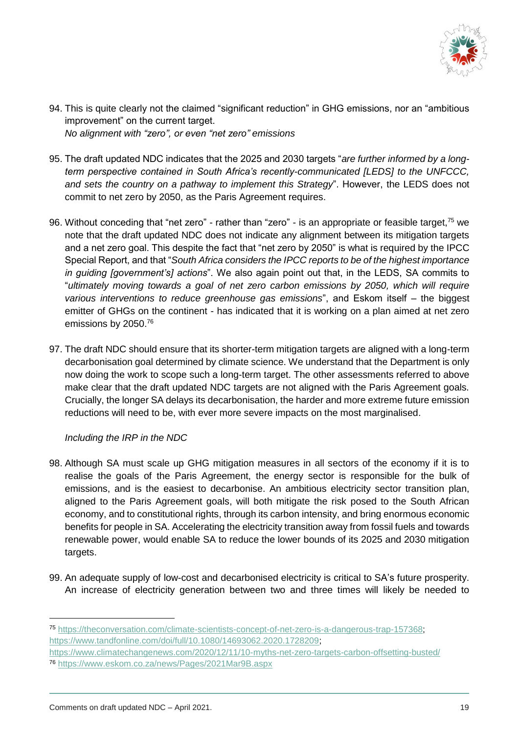

- 94. This is quite clearly not the claimed "significant reduction" in GHG emissions, nor an "ambitious improvement" on the current target. *No alignment with "zero", or even "net zero" emissions*
- 95. The draft updated NDC indicates that the 2025 and 2030 targets "*are further informed by a longterm perspective contained in South Africa's recently-communicated [LEDS] to the UNFCCC, and sets the country on a pathway to implement this Strategy*". However, the LEDS does not commit to net zero by 2050, as the Paris Agreement requires.
- 96. Without conceding that "net zero" rather than "zero" is an appropriate or feasible target,<sup>75</sup> we note that the draft updated NDC does not indicate any alignment between its mitigation targets and a net zero goal. This despite the fact that "net zero by 2050" is what is required by the IPCC Special Report, and that "*South Africa considers the IPCC reports to be of the highest importance in guiding [government's] actions*". We also again point out that, in the LEDS, SA commits to "*ultimately moving towards a goal of net zero carbon emissions by 2050, which will require various interventions to reduce greenhouse gas emissions*", and Eskom itself – the biggest emitter of GHGs on the continent - has indicated that it is working on a plan aimed at net zero emissions by 2050.<sup>76</sup>
- 97. The draft NDC should ensure that its shorter-term mitigation targets are aligned with a long-term decarbonisation goal determined by climate science. We understand that the Department is only now doing the work to scope such a long-term target. The other assessments referred to above make clear that the draft updated NDC targets are not aligned with the Paris Agreement goals. Crucially, the longer SA delays its decarbonisation, the harder and more extreme future emission reductions will need to be, with ever more severe impacts on the most marginalised.

# *Including the IRP in the NDC*

- 98. Although SA must scale up GHG mitigation measures in all sectors of the economy if it is to realise the goals of the Paris Agreement, the energy sector is responsible for the bulk of emissions, and is the easiest to decarbonise. An ambitious electricity sector transition plan, aligned to the Paris Agreement goals, will both mitigate the risk posed to the South African economy, and to constitutional rights, through its carbon intensity, and bring enormous economic benefits for people in SA. Accelerating the electricity transition away from fossil fuels and towards renewable power, would enable SA to reduce the lower bounds of its 2025 and 2030 mitigation targets.
- 99. An adequate supply of low-cost and decarbonised electricity is critical to SA's future prosperity. An increase of electricity generation between two and three times will likely be needed to

<sup>75</sup> [https://theconversation.com/climate-scientists-concept-of-net-zero-is-a-dangerous-trap-157368;](https://theconversation.com/climate-scientists-concept-of-net-zero-is-a-dangerous-trap-157368) [https://www.tandfonline.com/doi/full/10.1080/14693062.2020.1728209;](https://www.tandfonline.com/doi/full/10.1080/14693062.2020.1728209)

<https://www.climatechangenews.com/2020/12/11/10-myths-net-zero-targets-carbon-offsetting-busted/> <sup>76</sup> <https://www.eskom.co.za/news/Pages/2021Mar9B.aspx>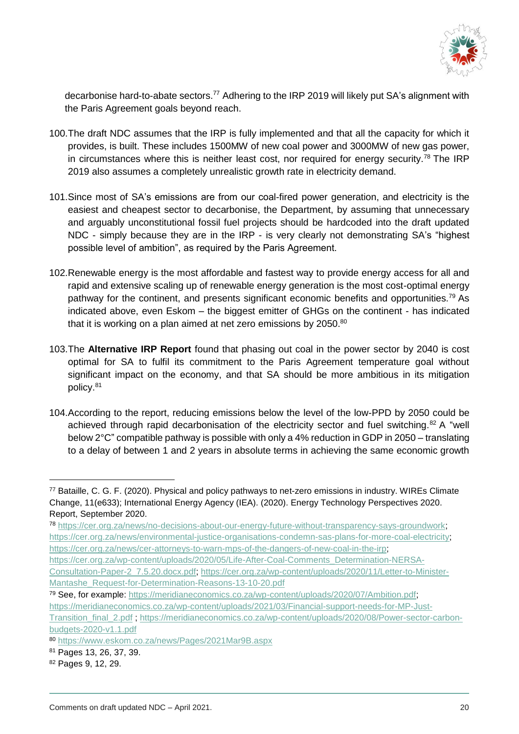

decarbonise hard-to-abate sectors.<sup>77</sup> Adhering to the IRP 2019 will likely put SA's alignment with the Paris Agreement goals beyond reach.

- 100.The draft NDC assumes that the IRP is fully implemented and that all the capacity for which it provides, is built. These includes 1500MW of new coal power and 3000MW of new gas power, in circumstances where this is neither least cost, nor required for energy security.<sup>78</sup> The IRP 2019 also assumes a completely unrealistic growth rate in electricity demand.
- 101.Since most of SA's emissions are from our coal-fired power generation, and electricity is the easiest and cheapest sector to decarbonise, the Department, by assuming that unnecessary and arguably unconstitutional fossil fuel projects should be hardcoded into the draft updated NDC - simply because they are in the IRP - is very clearly not demonstrating SA's "highest possible level of ambition", as required by the Paris Agreement.
- 102.Renewable energy is the most affordable and fastest way to provide energy access for all and rapid and extensive scaling up of renewable energy generation is the most cost-optimal energy pathway for the continent, and presents significant economic benefits and opportunities.<sup>79</sup> As indicated above, even Eskom – the biggest emitter of GHGs on the continent - has indicated that it is working on a plan aimed at net zero emissions by 2050.80
- 103.The **Alternative IRP Report** found that phasing out coal in the power sector by 2040 is cost optimal for SA to fulfil its commitment to the Paris Agreement temperature goal without significant impact on the economy, and that SA should be more ambitious in its mitigation policy.<sup>81</sup>
- 104.According to the report, reducing emissions below the level of the low-PPD by 2050 could be achieved through rapid decarbonisation of the electricity sector and fuel switching.<sup>82</sup> A "well below 2°C" compatible pathway is possible with only a 4% reduction in GDP in 2050 – translating to a delay of between 1 and 2 years in absolute terms in achieving the same economic growth

<sup>78</sup> [https://cer.org.za/news/no-decisions-about-our-energy-future-without-transparency-says-groundwork;](https://cer.org.za/news/no-decisions-about-our-energy-future-without-transparency-says-groundwork) [https://cer.org.za/news/environmental-justice-organisations-condemn-sas-plans-for-more-coal-electricity;](https://cer.org.za/news/environmental-justice-organisations-condemn-sas-plans-for-more-coal-electricity) [https://cer.org.za/news/cer-attorneys-to-warn-mps-of-the-dangers-of-new-coal-in-the-irp;](https://cer.org.za/news/cer-attorneys-to-warn-mps-of-the-dangers-of-new-coal-in-the-irp)

- [https://cer.org.za/wp-content/uploads/2020/05/Life-After-Coal-Comments\\_Determination-NERSA-](https://cer.org.za/wp-content/uploads/2020/05/Life-After-Coal-Comments_Determination-NERSA-Consultation-Paper-2_7.5.20.docx.pdf)[Consultation-Paper-2\\_7.5.20.docx.pdf;](https://cer.org.za/wp-content/uploads/2020/05/Life-After-Coal-Comments_Determination-NERSA-Consultation-Paper-2_7.5.20.docx.pdf) [https://cer.org.za/wp-content/uploads/2020/11/Letter-to-Minister-](https://cer.org.za/wp-content/uploads/2020/11/Letter-to-Minister-Mantashe_Request-for-Determination-Reasons-13-10-20.pdf)[Mantashe\\_Request-for-Determination-Reasons-13-10-20.pdf](https://cer.org.za/wp-content/uploads/2020/11/Letter-to-Minister-Mantashe_Request-for-Determination-Reasons-13-10-20.pdf)
- <sup>79</sup> See, for example: [https://meridianeconomics.co.za/wp-content/uploads/2020/07/Ambition.pdf;](https://meridianeconomics.co.za/wp-content/uploads/2020/07/Ambition.pdf) [https://meridianeconomics.co.za/wp-content/uploads/2021/03/Financial-support-needs-for-MP-Just-](https://meridianeconomics.co.za/wp-content/uploads/2021/03/Financial-support-needs-for-MP-Just-Transition_final_2.pdf)

- <sup>81</sup> Pages 13, 26, 37, 39.
- <sup>82</sup> Pages 9, 12, 29.

<sup>77</sup> Bataille, C. G. F. (2020). Physical and policy pathways to net-zero emissions in industry. WIREs Climate Change, 11(e633); International Energy Agency (IEA). (2020). Energy Technology Perspectives 2020. Report, September 2020.

[Transition\\_final\\_2.pdf](https://meridianeconomics.co.za/wp-content/uploads/2021/03/Financial-support-needs-for-MP-Just-Transition_final_2.pdf) ; [https://meridianeconomics.co.za/wp-content/uploads/2020/08/Power-sector-carbon](https://meridianeconomics.co.za/wp-content/uploads/2020/08/Power-sector-carbon-budgets-2020-v1.1.pdf)[budgets-2020-v1.1.pdf](https://meridianeconomics.co.za/wp-content/uploads/2020/08/Power-sector-carbon-budgets-2020-v1.1.pdf)

<sup>80</sup> <https://www.eskom.co.za/news/Pages/2021Mar9B.aspx>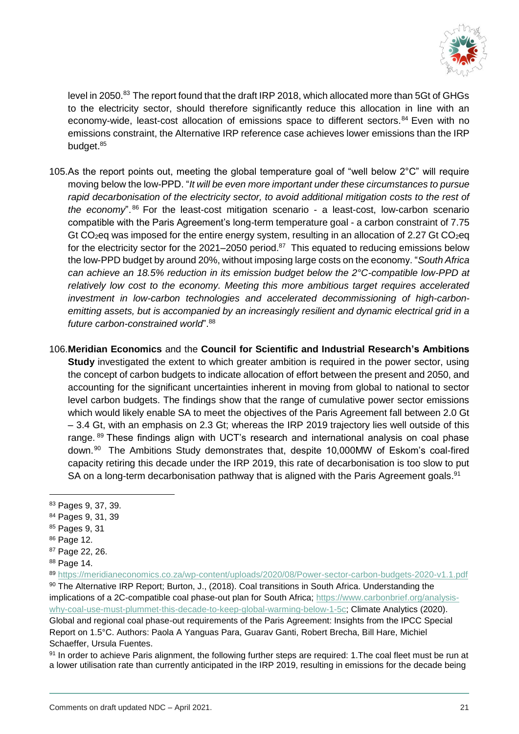

level in 2050.<sup>83</sup> The report found that the draft IRP 2018, which allocated more than 5Gt of GHGs to the electricity sector, should therefore significantly reduce this allocation in line with an economy-wide, least-cost allocation of emissions space to different sectors.<sup>84</sup> Even with no emissions constraint, the Alternative IRP reference case achieves lower emissions than the IRP budget.<sup>85</sup>

- 105.As the report points out, meeting the global temperature goal of "well below 2°C" will require moving below the low-PPD. "*It will be even more important under these circumstances to pursue rapid decarbonisation of the electricity sector, to avoid additional mitigation costs to the rest of the economy*". <sup>86</sup> For the least-cost mitigation scenario - a least-cost, low-carbon scenario compatible with the Paris Agreement's long-term temperature goal - a carbon constraint of 7.75 Gt CO<sub>2</sub>eq was imposed for the entire energy system, resulting in an allocation of 2.27 Gt CO<sub>2</sub>eq for the electricity sector for the 2021–2050 period.<sup>87</sup> This equated to reducing emissions below the low-PPD budget by around 20%, without imposing large costs on the economy. "*South Africa can achieve an 18.5% reduction in its emission budget below the 2°C-compatible low-PPD at relatively low cost to the economy. Meeting this more ambitious target requires accelerated investment in low-carbon technologies and accelerated decommissioning of high-carbonemitting assets, but is accompanied by an increasingly resilient and dynamic electrical grid in a future carbon-constrained world*". 88
- 106.**Meridian Economics** and the **Council for Scientific and Industrial Research's Ambitions Study** investigated the extent to which greater ambition is required in the power sector, using the concept of carbon budgets to indicate allocation of effort between the present and 2050, and accounting for the significant uncertainties inherent in moving from global to national to sector level carbon budgets. The findings show that the range of cumulative power sector emissions which would likely enable SA to meet the objectives of the Paris Agreement fall between 2.0 Gt – 3.4 Gt, with an emphasis on 2.3 Gt; whereas the IRP 2019 trajectory lies well outside of this range. <sup>89</sup> These findings align with UCT's research and international analysis on coal phase down.<sup>90</sup> The Ambitions Study demonstrates that, despite 10,000MW of Eskom's coal-fired capacity retiring this decade under the IRP 2019, this rate of decarbonisation is too slow to put SA on a long-term decarbonisation pathway that is aligned with the Paris Agreement goals.<sup>91</sup>

- <sup>84</sup> Pages 9, 31, 39
- <sup>85</sup> Pages 9, 31
- <sup>86</sup> Page 12.

- <sup>87</sup> Page 22, 26.
- <sup>88</sup> Page 14.

<sup>83</sup> Pages 9, 37, 39.

<sup>89</sup> <https://meridianeconomics.co.za/wp-content/uploads/2020/08/Power-sector-carbon-budgets-2020-v1.1.pdf> 90 The Alternative IRP Report; Burton, J., (2018). Coal transitions in South Africa. Understanding the implications of a 2C-compatible coal phase-out plan for South Africa; [https://www.carbonbrief.org/analysis](https://www.carbonbrief.org/analysis-why-coal-use-must-plummet-this-decade-to-keep-global-warming-below-1-5c)[why-coal-use-must-plummet-this-decade-to-keep-global-warming-below-1-5c;](https://www.carbonbrief.org/analysis-why-coal-use-must-plummet-this-decade-to-keep-global-warming-below-1-5c) Climate Analytics (2020). Global and regional coal phase-out requirements of the Paris Agreement: Insights from the IPCC Special Report on 1.5°C. Authors: Paola A Yanguas Para, Guarav Ganti, Robert Brecha, Bill Hare, Michiel Schaeffer, Ursula Fuentes.

<sup>91</sup> In order to achieve Paris alignment, the following further steps are required: 1. The coal fleet must be run at a lower utilisation rate than currently anticipated in the IRP 2019, resulting in emissions for the decade being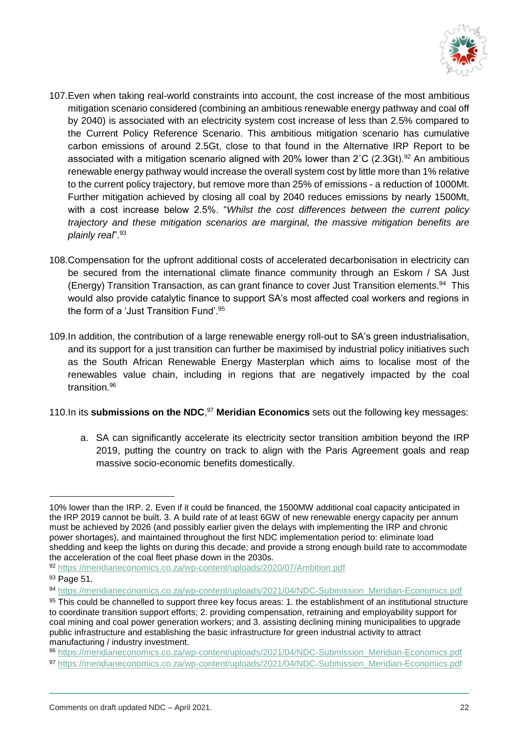

- 107.Even when taking real-world constraints into account, the cost increase of the most ambitious mitigation scenario considered (combining an ambitious renewable energy pathway and coal off by 2040) is associated with an electricity system cost increase of less than 2.5% compared to the Current Policy Reference Scenario. This ambitious mitigation scenario has cumulative carbon emissions of around 2.5Gt, close to that found in the Alternative IRP Report to be associated with a mitigation scenario aligned with 20% lower than  $2^{\circ}C$  (2.3Gt).<sup>92</sup> An ambitious renewable energy pathway would increase the overall system cost by little more than 1% relative to the current policy trajectory, but remove more than 25% of emissions - a reduction of 1000Mt. Further mitigation achieved by closing all coal by 2040 reduces emissions by nearly 1500Mt, with a cost increase below 2.5%. "*Whilst the cost differences between the current policy trajectory and these mitigation scenarios are marginal, the massive mitigation benefits are plainly real*".<sup>93</sup>
- 108.Compensation for the upfront additional costs of accelerated decarbonisation in electricity can be secured from the international climate finance community through an Eskom / SA Just (Energy) Transition Transaction, as can grant finance to cover Just Transition elements.<sup>94</sup> This would also provide catalytic finance to support SA's most affected coal workers and regions in the form of a 'Just Transition Fund'.<sup>95</sup>
- 109.In addition, the contribution of a large renewable energy roll-out to SA's green industrialisation, and its support for a just transition can further be maximised by industrial policy initiatives such as the South African Renewable Energy Masterplan which aims to localise most of the renewables value chain, including in regions that are negatively impacted by the coal transition.<sup>96</sup>

# 110.In its **submissions on the NDC**, <sup>97</sup> **Meridian Economics** sets out the following key messages:

a. SA can significantly accelerate its electricity sector transition ambition beyond the IRP 2019, putting the country on track to align with the Paris Agreement goals and reap massive socio-economic benefits domestically.

<sup>10%</sup> lower than the IRP. 2. Even if it could be financed, the 1500MW additional coal capacity anticipated in the IRP 2019 cannot be built. 3. A build rate of at least 6GW of new renewable energy capacity per annum must be achieved by 2026 (and possibly earlier given the delays with implementing the IRP and chronic power shortages), and maintained throughout the first NDC implementation period to: eliminate load shedding and keep the lights on during this decade; and provide a strong enough build rate to accommodate the acceleration of the coal fleet phase down in the 2030s.

<sup>92</sup> <https://meridianeconomics.co.za/wp-content/uploads/2020/07/Ambition.pdf>

<sup>93</sup> Page 51.

<sup>94</sup> [https://meridianeconomics.co.za/wp-content/uploads/2021/04/NDC-Submission\\_Meridian-Economics.pdf](https://meridianeconomics.co.za/wp-content/uploads/2021/04/NDC-Submission_Meridian-Economics.pdf)

<sup>95</sup> This could be channelled to support three key focus areas: 1, the establishment of an institutional structure to coordinate transition support efforts; 2. providing compensation, retraining and employability support for coal mining and coal power generation workers; and 3. assisting declining mining municipalities to upgrade public infrastructure and establishing the basic infrastructure for green industrial activity to attract manufacturing / industry investment.

<sup>96</sup> [https://meridianeconomics.co.za/wp-content/uploads/2021/04/NDC-Submission\\_Meridian-Economics.pdf](https://meridianeconomics.co.za/wp-content/uploads/2021/04/NDC-Submission_Meridian-Economics.pdf) 97 [https://meridianeconomics.co.za/wp-content/uploads/2021/04/NDC-Submission\\_Meridian-Economics.pdf](https://meridianeconomics.co.za/wp-content/uploads/2021/04/NDC-Submission_Meridian-Economics.pdf)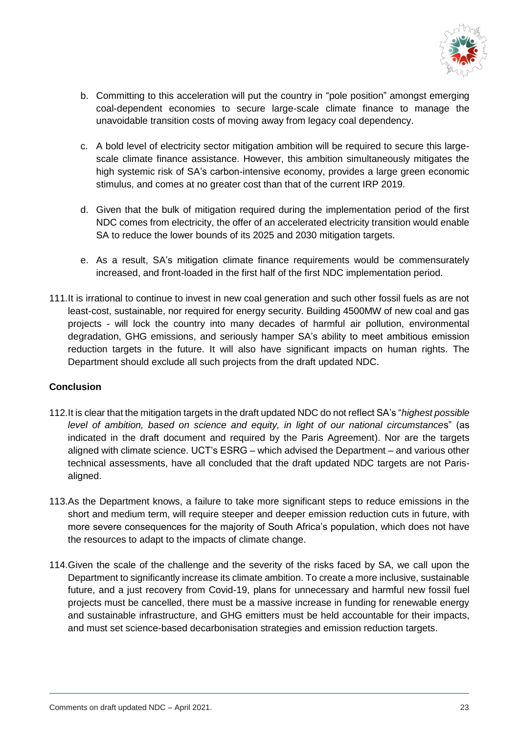

- b. Committing to this acceleration will put the country in "pole position" amongst emerging coal-dependent economies to secure large-scale climate finance to manage the unavoidable transition costs of moving away from legacy coal dependency.
- c. A bold level of electricity sector mitigation ambition will be required to secure this largescale climate finance assistance. However, this ambition simultaneously mitigates the high systemic risk of SA's carbon-intensive economy, provides a large green economic stimulus, and comes at no greater cost than that of the current IRP 2019.
- d. Given that the bulk of mitigation required during the implementation period of the first NDC comes from electricity, the offer of an accelerated electricity transition would enable SA to reduce the lower bounds of its 2025 and 2030 mitigation targets.
- e. As a result, SA's mitigation climate finance requirements would be commensurately increased, and front-loaded in the first half of the first NDC implementation period.
- 111.It is irrational to continue to invest in new coal generation and such other fossil fuels as are not least-cost, sustainable, nor required for energy security. Building 4500MW of new coal and gas projects - will lock the country into many decades of harmful air pollution, environmental degradation, GHG emissions, and seriously hamper SA's ability to meet ambitious emission reduction targets in the future. It will also have significant impacts on human rights. The Department should exclude all such projects from the draft updated NDC.

# **Conclusion**

- 112.It is clear that the mitigation targets in the draft updated NDC do not reflect SA's "*highest possible level of ambition, based on science and equity, in light of our national circumstance*s" (as indicated in the draft document and required by the Paris Agreement). Nor are the targets aligned with climate science. UCT's ESRG – which advised the Department – and various other technical assessments, have all concluded that the draft updated NDC targets are not Parisaligned.
- 113.As the Department knows, a failure to take more significant steps to reduce emissions in the short and medium term, will require steeper and deeper emission reduction cuts in future, with more severe consequences for the majority of South Africa's population, which does not have the resources to adapt to the impacts of climate change.
- 114.Given the scale of the challenge and the severity of the risks faced by SA, we call upon the Department to significantly increase its climate ambition. To create a more inclusive, sustainable future, and a just recovery from Covid-19, plans for unnecessary and harmful new fossil fuel projects must be cancelled, there must be a massive increase in funding for renewable energy and sustainable infrastructure, and GHG emitters must be held accountable for their impacts, and must set science-based decarbonisation strategies and emission reduction targets.